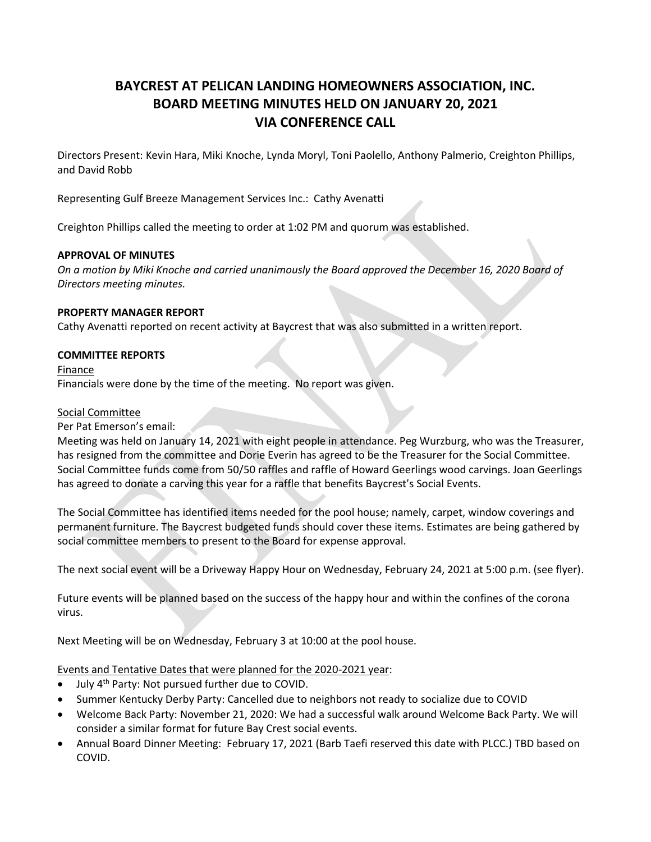# **BAYCREST AT PELICAN LANDING HOMEOWNERS ASSOCIATION, INC. BOARD MEETING MINUTES HELD ON JANUARY 20, 2021 VIA CONFERENCE CALL**

Directors Present: Kevin Hara, Miki Knoche, Lynda Moryl, Toni Paolello, Anthony Palmerio, Creighton Phillips, and David Robb

Representing Gulf Breeze Management Services Inc.: Cathy Avenatti

Creighton Phillips called the meeting to order at 1:02 PM and quorum was established.

## **APPROVAL OF MINUTES**

*On a motion by Miki Knoche and carried unanimously the Board approved the December 16, 2020 Board of Directors meeting minutes.*

### **PROPERTY MANAGER REPORT**

Cathy Avenatti reported on recent activity at Baycrest that was also submitted in a written report.

## **COMMITTEE REPORTS**

Finance Financials were done by the time of the meeting. No report was given.

### Social Committee

Per Pat Emerson's email:

Meeting was held on January 14, 2021 with eight people in attendance. Peg Wurzburg, who was the Treasurer, has resigned from the committee and Dorie Everin has agreed to be the Treasurer for the Social Committee. Social Committee funds come from 50/50 raffles and raffle of Howard Geerlings wood carvings. Joan Geerlings has agreed to donate a carving this year for a raffle that benefits Baycrest's Social Events.

The Social Committee has identified items needed for the pool house; namely, carpet, window coverings and permanent furniture. The Baycrest budgeted funds should cover these items. Estimates are being gathered by social committee members to present to the Board for expense approval.

The next social event will be a Driveway Happy Hour on Wednesday, February 24, 2021 at 5:00 p.m. (see flyer).

Future events will be planned based on the success of the happy hour and within the confines of the corona virus.

Next Meeting will be on Wednesday, February 3 at 10:00 at the pool house.

Events and Tentative Dates that were planned for the 2020-2021 year:

- July 4th Party: Not pursued further due to COVID.
- Summer Kentucky Derby Party: Cancelled due to neighbors not ready to socialize due to COVID
- Welcome Back Party: November 21, 2020: We had a successful walk around Welcome Back Party. We will consider a similar format for future Bay Crest social events.
- Annual Board Dinner Meeting: February 17, 2021 (Barb Taefi reserved this date with PLCC.) TBD based on COVID.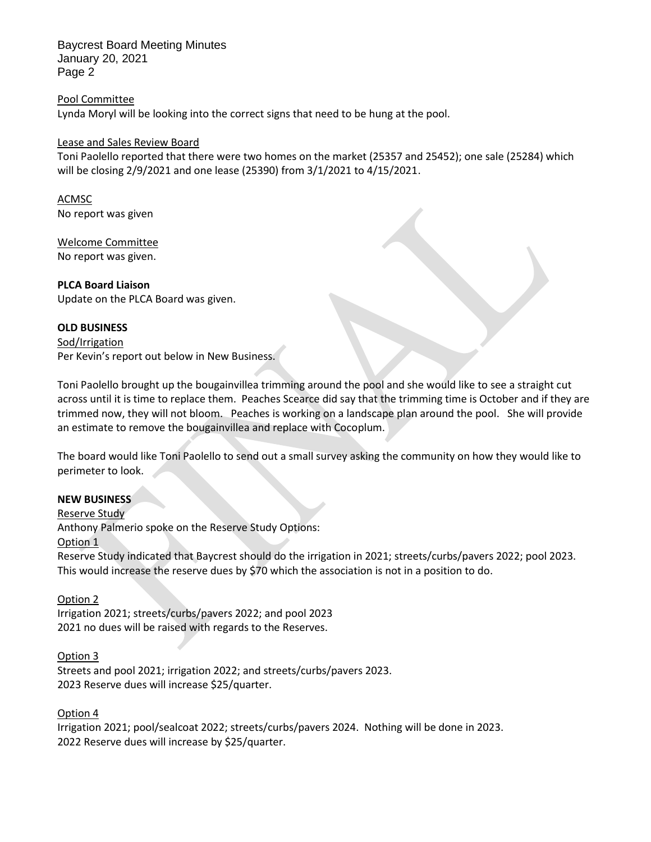Baycrest Board Meeting Minutes January 20, 2021 Page 2

Pool Committee Lynda Moryl will be looking into the correct signs that need to be hung at the pool.

### Lease and Sales Review Board

Toni Paolello reported that there were two homes on the market (25357 and 25452); one sale (25284) which will be closing 2/9/2021 and one lease (25390) from 3/1/2021 to 4/15/2021.

ACMSC No report was given

Welcome Committee No report was given.

**PLCA Board Liaison**

Update on the PLCA Board was given.

# **OLD BUSINESS**

Sod/Irrigation Per Kevin's report out below in New Business.

Toni Paolello brought up the bougainvillea trimming around the pool and she would like to see a straight cut across until it is time to replace them. Peaches Scearce did say that the trimming time is October and if they are trimmed now, they will not bloom. Peaches is working on a landscape plan around the pool. She will provide an estimate to remove the bougainvillea and replace with Cocoplum.

The board would like Toni Paolello to send out a small survey asking the community on how they would like to perimeter to look.

# **NEW BUSINESS**

Reserve Study Anthony Palmerio spoke on the Reserve Study Options: Option 1

Reserve Study indicated that Baycrest should do the irrigation in 2021; streets/curbs/pavers 2022; pool 2023. This would increase the reserve dues by \$70 which the association is not in a position to do.

# Option 2

Irrigation 2021; streets/curbs/pavers 2022; and pool 2023 2021 no dues will be raised with regards to the Reserves.

Option 3 Streets and pool 2021; irrigation 2022; and streets/curbs/pavers 2023. 2023 Reserve dues will increase \$25/quarter.

Option 4

Irrigation 2021; pool/sealcoat 2022; streets/curbs/pavers 2024. Nothing will be done in 2023. 2022 Reserve dues will increase by \$25/quarter.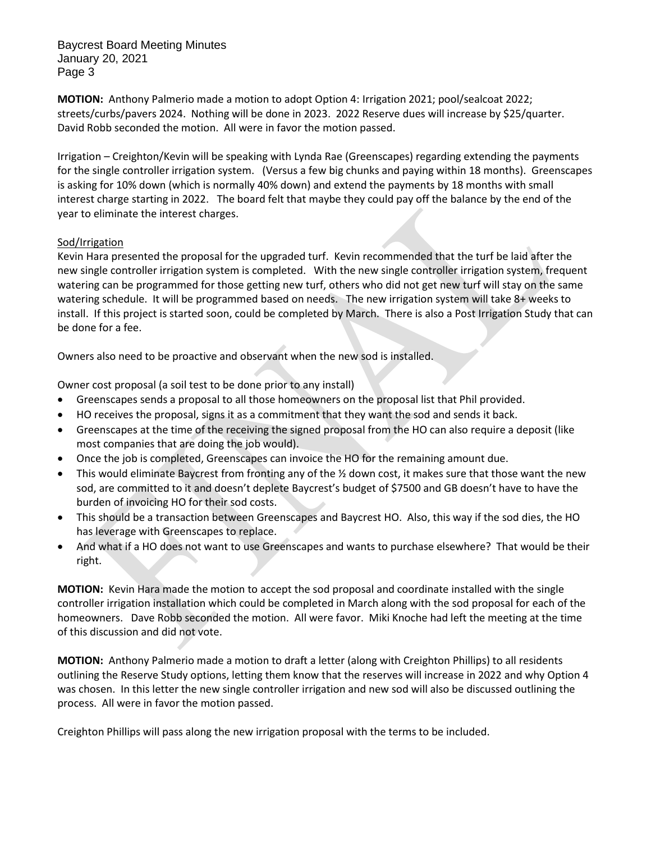Baycrest Board Meeting Minutes January 20, 2021 Page 3

**MOTION:** Anthony Palmerio made a motion to adopt Option 4: Irrigation 2021; pool/sealcoat 2022; streets/curbs/pavers 2024. Nothing will be done in 2023. 2022 Reserve dues will increase by \$25/quarter. David Robb seconded the motion. All were in favor the motion passed.

Irrigation – Creighton/Kevin will be speaking with Lynda Rae (Greenscapes) regarding extending the payments for the single controller irrigation system. (Versus a few big chunks and paying within 18 months). Greenscapes is asking for 10% down (which is normally 40% down) and extend the payments by 18 months with small interest charge starting in 2022. The board felt that maybe they could pay off the balance by the end of the year to eliminate the interest charges.

## Sod/Irrigation

Kevin Hara presented the proposal for the upgraded turf. Kevin recommended that the turf be laid after the new single controller irrigation system is completed. With the new single controller irrigation system, frequent watering can be programmed for those getting new turf, others who did not get new turf will stay on the same watering schedule. It will be programmed based on needs. The new irrigation system will take 8+ weeks to install. If this project is started soon, could be completed by March. There is also a Post Irrigation Study that can be done for a fee.

Owners also need to be proactive and observant when the new sod is installed.

Owner cost proposal (a soil test to be done prior to any install)

- Greenscapes sends a proposal to all those homeowners on the proposal list that Phil provided.
- HO receives the proposal, signs it as a commitment that they want the sod and sends it back.
- Greenscapes at the time of the receiving the signed proposal from the HO can also require a deposit (like most companies that are doing the job would).
- Once the job is completed, Greenscapes can invoice the HO for the remaining amount due.
- This would eliminate Baycrest from fronting any of the  $\frac{1}{2}$  down cost, it makes sure that those want the new sod, are committed to it and doesn't deplete Baycrest's budget of \$7500 and GB doesn't have to have the burden of invoicing HO for their sod costs.
- This should be a transaction between Greenscapes and Baycrest HO. Also, this way if the sod dies, the HO has leverage with Greenscapes to replace.
- And what if a HO does not want to use Greenscapes and wants to purchase elsewhere? That would be their right.

**MOTION:** Kevin Hara made the motion to accept the sod proposal and coordinate installed with the single controller irrigation installation which could be completed in March along with the sod proposal for each of the homeowners. Dave Robb seconded the motion. All were favor. Miki Knoche had left the meeting at the time of this discussion and did not vote.

**MOTION:** Anthony Palmerio made a motion to draft a letter (along with Creighton Phillips) to all residents outlining the Reserve Study options, letting them know that the reserves will increase in 2022 and why Option 4 was chosen. In this letter the new single controller irrigation and new sod will also be discussed outlining the process. All were in favor the motion passed.

Creighton Phillips will pass along the new irrigation proposal with the terms to be included.